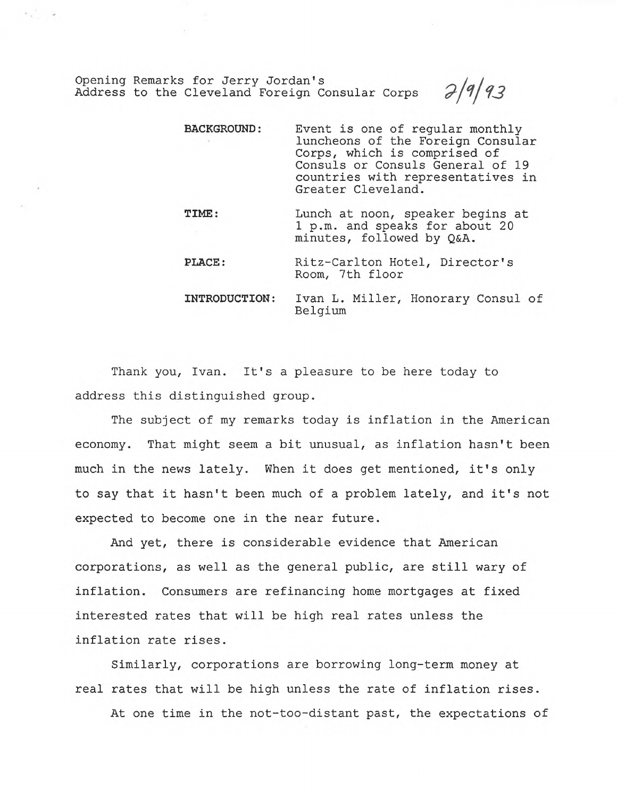Opening Remarks for Jerry Jordan's<br>Address to the Cleveland Foreign Consular Corps  $\partial/9/93$ Address to the Cleveland Foreign Consular Corps

 $\sim$   $\sim$ 

| <b>BACKGROUND :</b>  | Event is one of regular monthly<br>luncheons of the Foreign Consular<br>Corps, which is comprised of<br>Consuls or Consuls General of 19<br>countries with representatives in<br>Greater Cleveland. |
|----------------------|-----------------------------------------------------------------------------------------------------------------------------------------------------------------------------------------------------|
| <b>TIME:</b>         | Lunch at noon, speaker begins at<br>1 p.m. and speaks for about 20<br>minutes, followed by Q&A.                                                                                                     |
| <b>PLACE:</b>        | Ritz-Carlton Hotel, Director's<br>Room, 7th floor                                                                                                                                                   |
| <b>INTRODUCTION:</b> | Ivan L. Miller, Honorary Consul of<br>Belgium                                                                                                                                                       |

Thank you, Ivan. It's a pleasure to be here today to address this distinguished group.

The subject of my remarks today is inflation in the American economy. That might seem a bit unusual, as inflation hasn't been much in the news lately. When it does get mentioned, it's only to say that it hasn't been much of a problem lately, and it's not expected to become one in the near future.

And yet, there is considerable evidence that American corporations, as well as the general public, are still wary of inflation. Consumers are refinancing home mortgages at fixed interested rates that will be high real rates unless the inflation rate rises.

Similarly, corporations are borrowing long-term money at real rates that will be high unless the rate of inflation rises.

At one time in the not-too-distant past, the expectations of